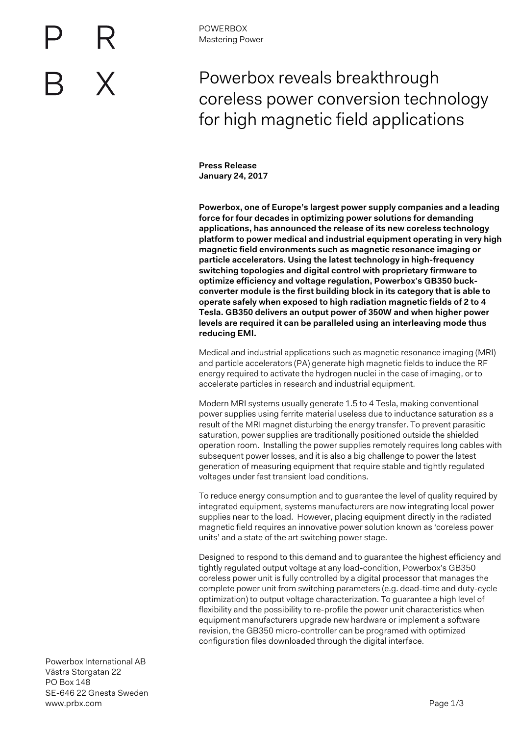## Powerbox reveals breakthrough coreless power conversion technology for high magnetic field applications

**Press Release January 24, 2017**

**Powerbox, one of Europe's largest power supply companies and a leading force for four decades in optimizing power solutions for demanding applications, has announced the release of its new coreless technology platform to power medical and industrial equipment operating in very high magnetic field environments such as magnetic resonance imaging or particle accelerators. Using the latest technology in high-frequency switching topologies and digital control with proprietary firmware to optimize efficiency and voltage regulation, Powerbox's GB350 buckconverter module is the first building block in its category that is able to operate safely when exposed to high radiation magnetic fields of 2 to 4 Tesla. GB350 delivers an output power of 350W and when higher power levels are required it can be paralleled using an interleaving mode thus reducing EMI.**

Medical and industrial applications such as magnetic resonance imaging (MRI) and particle accelerators (PA) generate high magnetic fields to induce the RF energy required to activate the hydrogen nuclei in the case of imaging, or to accelerate particles in research and industrial equipment.

Modern MRI systems usually generate 1.5 to 4 Tesla, making conventional power supplies using ferrite material useless due to inductance saturation as a result of the MRI magnet disturbing the energy transfer. To prevent parasitic saturation, power supplies are traditionally positioned outside the shielded operation room. Installing the power supplies remotely requires long cables with subsequent power losses, and it is also a big challenge to power the latest generation of measuring equipment that require stable and tightly regulated voltages under fast transient load conditions.

To reduce energy consumption and to guarantee the level of quality required by integrated equipment, systems manufacturers are now integrating local power supplies near to the load. However, placing equipment directly in the radiated magnetic field requires an innovative power solution known as 'coreless power units' and a state of the art switching power stage.

Designed to respond to this demand and to guarantee the highest efficiency and tightly regulated output voltage at any load-condition, Powerbox's GB350 coreless power unit is fully controlled by a digital processor that manages the complete power unit from switching parameters (e.g. dead-time and duty-cycle optimization) to output voltage characterization. To guarantee a high level of flexibility and the possibility to re-profile the power unit characteristics when equipment manufacturers upgrade new hardware or implement a software revision, the GB350 micro-controller can be programed with optimized configuration files downloaded through the digital interface.

Powerbox International AB Västra Storgatan 22 PO Box 148 SE-646 22 Gnesta Sweden www.prbx.com **Page 1/3**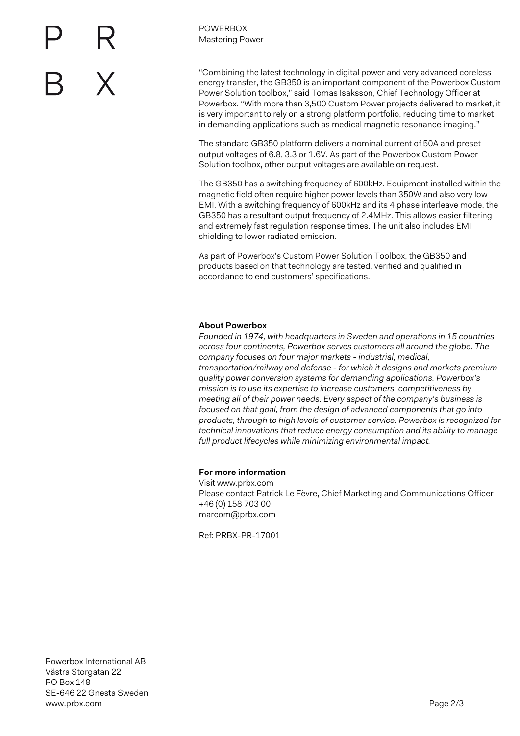

POWERBOX Mastering Power

"Combining the latest technology in digital power and very advanced coreless energy transfer, the GB350 is an important component of the Powerbox Custom Power Solution toolbox," said Tomas Isaksson, Chief Technology Officer at Powerbox. "With more than 3,500 Custom Power projects delivered to market, it is very important to rely on a strong platform portfolio, reducing time to market in demanding applications such as medical magnetic resonance imaging."

The standard GB350 platform delivers a nominal current of 50A and preset output voltages of 6.8, 3.3 or 1.6V. As part of the Powerbox Custom Power Solution toolbox, other output voltages are available on request.

The GB350 has a switching frequency of 600kHz. Equipment installed within the magnetic field often require higher power levels than 350W and also very low EMI. With a switching frequency of 600kHz and its 4 phase interleave mode, the GB350 has a resultant output frequency of 2.4MHz. This allows easier filtering and extremely fast regulation response times. The unit also includes EMI shielding to lower radiated emission.

As part of Powerbox's Custom Power Solution Toolbox, the GB350 and products based on that technology are tested, verified and qualified in accordance to end customers' specifications.

## **About Powerbox**

*Founded in 1974, with headquarters in Sweden and operations in 15 countries across four continents, Powerbox serves customers all around the globe. The company focuses on four major markets - industrial, medical, transportation/railway and defense - for which it designs and markets premium quality power conversion systems for demanding applications. Powerbox's mission is to use its expertise to increase customers' competitiveness by meeting all of their power needs. Every aspect of the company's business is focused on that goal, from the design of advanced components that go into products, through to high levels of customer service. Powerbox is recognized for technical innovations that reduce energy consumption and its ability to manage full product lifecycles while minimizing environmental impact.*

## **For more information**

Visit www.prbx.com Please contact Patrick Le Fèvre, Chief Marketing and Communications Officer +46 (0) 158 703 00 marcom@prbx.com

Ref: PRBX-PR-17001

Powerbox International AB Västra Storgatan 22 PO Box 148 SE-646 22 Gnesta Sweden www.prbx.com **Page 2/3**